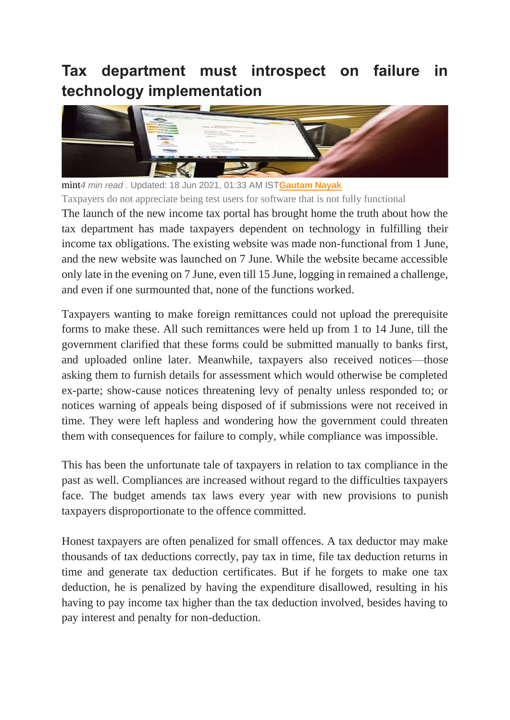## **Tax department must introspect on failure in technology implementation**



mint*4 min read .* Updated: 18 Jun 2021, 01:33 AM IST**[Gautam Nayak](https://www.livemint.com/Search/Link/Author/Gautam-Nayak)** Taxpayers do not appreciate being test users for software that is not fully functional

The launch of the new income tax portal has brought home the truth about how the tax department has made taxpayers dependent on technology in fulfilling their income tax obligations. The existing website was made non-functional from 1 June, and the new website was launched on 7 June. While the website became accessible only late in the evening on 7 June, even till 15 June, logging in remained a challenge, and even if one surmounted that, none of the functions worked.

Taxpayers wanting to make foreign remittances could not upload the prerequisite forms to make these. All such remittances were held up from 1 to 14 June, till the government clarified that these forms could be submitted manually to banks first, and uploaded online later. Meanwhile, taxpayers also received notices—those asking them to furnish details for assessment which would otherwise be completed ex-parte; show-cause notices threatening levy of penalty unless responded to; or notices warning of appeals being disposed of if submissions were not received in time. They were left hapless and wondering how the government could threaten them with consequences for failure to comply, while compliance was impossible.

This has been the unfortunate tale of taxpayers in relation to tax compliance in the past as well. Compliances are increased without regard to the difficulties taxpayers face. The budget amends tax laws every year with new provisions to punish taxpayers disproportionate to the offence committed.

Honest taxpayers are often penalized for small offences. A tax deductor may make thousands of tax deductions correctly, pay tax in time, file tax deduction returns in time and generate tax deduction certificates. But if he forgets to make one tax deduction, he is penalized by having the expenditure disallowed, resulting in his having to pay income tax higher than the tax deduction involved, besides having to pay interest and penalty for non-deduction.